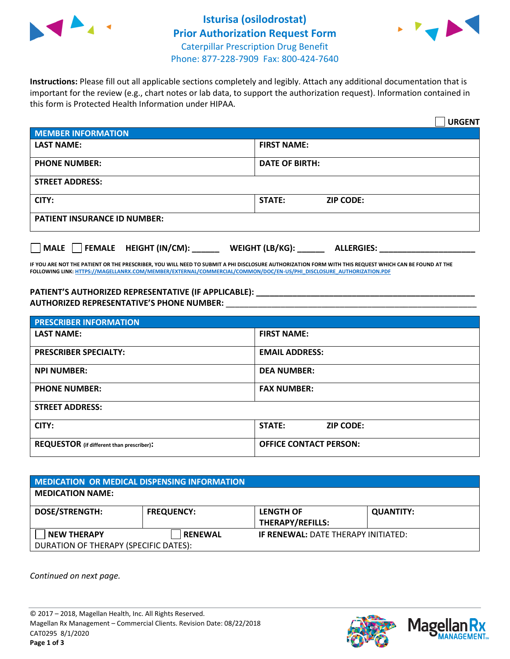



**Instructions:** Please fill out all applicable sections completely and legibly. Attach any additional documentation that is important for the review (e.g., chart notes or lab data, to support the authorization request). Information contained in this form is Protected Health Information under HIPAA.

|                                       | <b>URGENT</b>                        |  |
|---------------------------------------|--------------------------------------|--|
| <b>MEMBER INFORMATION</b>             |                                      |  |
| <b>LAST NAME:</b>                     | <b>FIRST NAME:</b>                   |  |
| <b>PHONE NUMBER:</b>                  | <b>DATE OF BIRTH:</b>                |  |
| <b>STREET ADDRESS:</b>                |                                      |  |
| CITY:                                 | <b>STATE:</b><br><b>ZIP CODE:</b>    |  |
| <b>PATIENT INSURANCE ID NUMBER:</b>   |                                      |  |
| FEMALE HEIGHT (IN/CM):<br><b>MALE</b> | WEIGHT (LB/KG):<br><b>ALLERGIES:</b> |  |

**IF YOU ARE NOT THE PATIENT OR THE PRESCRIBER, YOU WILL NEED TO SUBMIT A PHI DISCLOSURE AUTHORIZATION FORM WITH THIS REQUEST WHICH CAN BE FOUND AT THE FOLLOWING LINK[: HTTPS://MAGELLANRX.COM/MEMBER/EXTERNAL/COMMERCIAL/COMMON/DOC/EN-US/PHI\\_DISCLOSURE\\_AUTHORIZATION.PDF](https://magellanrx.com/member/external/commercial/common/doc/en-us/PHI_Disclosure_Authorization.pdf)**

**PATIENT'S AUTHORIZED REPRESENTATIVE (IF APPLICABLE): \_\_\_\_\_\_\_\_\_\_\_\_\_\_\_\_\_\_\_\_\_\_\_\_\_\_\_\_\_\_\_\_\_\_\_\_\_\_\_\_\_\_\_\_\_\_\_\_ AUTHORIZED REPRESENTATIVE'S PHONE NUMBER:** \_\_\_\_\_\_\_\_\_\_\_\_\_\_\_\_\_\_\_\_\_\_\_\_\_\_\_\_\_\_\_\_\_\_\_\_\_\_\_\_\_\_\_\_\_\_\_\_\_\_\_\_\_\_\_

| <b>PRESCRIBER INFORMATION</b>             |                               |  |  |  |
|-------------------------------------------|-------------------------------|--|--|--|
| <b>LAST NAME:</b>                         | <b>FIRST NAME:</b>            |  |  |  |
| <b>PRESCRIBER SPECIALTY:</b>              | <b>EMAIL ADDRESS:</b>         |  |  |  |
| <b>NPI NUMBER:</b>                        | <b>DEA NUMBER:</b>            |  |  |  |
| <b>PHONE NUMBER:</b>                      | <b>FAX NUMBER:</b>            |  |  |  |
| <b>STREET ADDRESS:</b>                    |                               |  |  |  |
| CITY:                                     | STATE:<br><b>ZIP CODE:</b>    |  |  |  |
| REQUESTOR (if different than prescriber): | <b>OFFICE CONTACT PERSON:</b> |  |  |  |

| <b>MEDICATION OR MEDICAL DISPENSING INFORMATION</b>         |                   |                                             |                  |  |  |
|-------------------------------------------------------------|-------------------|---------------------------------------------|------------------|--|--|
| <b>MEDICATION NAME:</b>                                     |                   |                                             |                  |  |  |
| <b>DOSE/STRENGTH:</b>                                       | <b>FREQUENCY:</b> | <b>LENGTH OF</b><br><b>THERAPY/REFILLS:</b> | <b>QUANTITY:</b> |  |  |
| <b>NEW THERAPY</b><br>DURATION OF THERAPY (SPECIFIC DATES): | <b>RENEWAL</b>    | <b>IF RENEWAL: DATE THERAPY INITIATED:</b>  |                  |  |  |

*Continued on next page.*

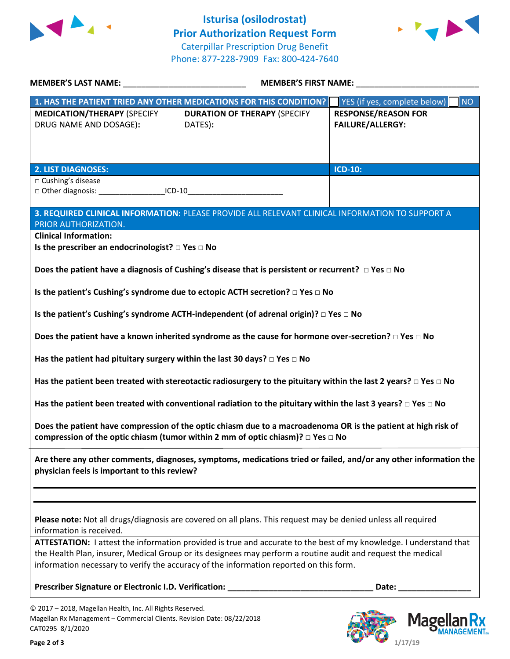



| <b>MEMBER'S LAST NAME:</b> NAME:                                                                                                    |                                                                                                                                                                                                            | <b>MEMBER'S FIRST NAME:</b>            |  |
|-------------------------------------------------------------------------------------------------------------------------------------|------------------------------------------------------------------------------------------------------------------------------------------------------------------------------------------------------------|----------------------------------------|--|
|                                                                                                                                     | 1. HAS THE PATIENT TRIED ANY OTHER MEDICATIONS FOR THIS CONDITION?                                                                                                                                         | YES (if yes, complete below)<br>NO     |  |
| <b>MEDICATION/THERAPY (SPECIFY</b>                                                                                                  | <b>DURATION OF THERAPY (SPECIFY</b>                                                                                                                                                                        | <b>RESPONSE/REASON FOR</b>             |  |
| DRUG NAME AND DOSAGE):                                                                                                              | DATES):                                                                                                                                                                                                    | <b>FAILURE/ALLERGY:</b>                |  |
|                                                                                                                                     |                                                                                                                                                                                                            |                                        |  |
|                                                                                                                                     |                                                                                                                                                                                                            |                                        |  |
| <b>2. LIST DIAGNOSES:</b>                                                                                                           |                                                                                                                                                                                                            | <b>ICD-10:</b>                         |  |
| □ Cushing's disease                                                                                                                 |                                                                                                                                                                                                            |                                        |  |
| □ Other diagnosis: _________________________ICD-10_____________________________                                                     |                                                                                                                                                                                                            |                                        |  |
|                                                                                                                                     |                                                                                                                                                                                                            |                                        |  |
|                                                                                                                                     | 3. REQUIRED CLINICAL INFORMATION: PLEASE PROVIDE ALL RELEVANT CLINICAL INFORMATION TO SUPPORT A                                                                                                            |                                        |  |
| PRIOR AUTHORIZATION.                                                                                                                |                                                                                                                                                                                                            |                                        |  |
| <b>Clinical Information:</b>                                                                                                        |                                                                                                                                                                                                            |                                        |  |
| Is the prescriber an endocrinologist? $\square$ Yes $\square$ No                                                                    |                                                                                                                                                                                                            |                                        |  |
|                                                                                                                                     | Does the patient have a diagnosis of Cushing's disease that is persistent or recurrent? $\Box$ Yes $\Box$ No                                                                                               |                                        |  |
|                                                                                                                                     |                                                                                                                                                                                                            |                                        |  |
|                                                                                                                                     | Is the patient's Cushing's syndrome due to ectopic ACTH secretion? □ Yes □ No                                                                                                                              |                                        |  |
|                                                                                                                                     |                                                                                                                                                                                                            |                                        |  |
|                                                                                                                                     | Is the patient's Cushing's syndrome ACTH-independent (of adrenal origin)? □ Yes □ No                                                                                                                       |                                        |  |
|                                                                                                                                     |                                                                                                                                                                                                            |                                        |  |
|                                                                                                                                     | Does the patient have a known inherited syndrome as the cause for hormone over-secretion? $\Box$ Yes $\Box$ No                                                                                             |                                        |  |
| Has the patient had pituitary surgery within the last 30 days? $\Box$ Yes $\Box$ No                                                 |                                                                                                                                                                                                            |                                        |  |
|                                                                                                                                     | Has the patient been treated with stereotactic radiosurgery to the pituitary within the last 2 years? $\Box$ Yes $\Box$ No                                                                                 |                                        |  |
|                                                                                                                                     | Has the patient been treated with conventional radiation to the pituitary within the last 3 years? $\Box$ Yes $\Box$ No                                                                                    |                                        |  |
|                                                                                                                                     | Does the patient have compression of the optic chiasm due to a macroadenoma OR is the patient at high risk of<br>compression of the optic chiasm (tumor within 2 mm of optic chiasm)? $\Box$ Yes $\Box$ No |                                        |  |
| physician feels is important to this review?                                                                                        | Are there any other comments, diagnoses, symptoms, medications tried or failed, and/or any other information the                                                                                           |                                        |  |
|                                                                                                                                     |                                                                                                                                                                                                            |                                        |  |
| information is received.                                                                                                            | Please note: Not all drugs/diagnosis are covered on all plans. This request may be denied unless all required                                                                                              |                                        |  |
|                                                                                                                                     | ATTESTATION: I attest the information provided is true and accurate to the best of my knowledge. I understand that                                                                                         |                                        |  |
|                                                                                                                                     | the Health Plan, insurer, Medical Group or its designees may perform a routine audit and request the medical                                                                                               |                                        |  |
|                                                                                                                                     | information necessary to verify the accuracy of the information reported on this form.                                                                                                                     |                                        |  |
|                                                                                                                                     | Prescriber Signature or Electronic I.D. Verification: ___________________________                                                                                                                          | Date: <u>Date: Electronic State of</u> |  |
|                                                                                                                                     |                                                                                                                                                                                                            |                                        |  |
| © 2017 - 2018, Magellan Health, Inc. All Rights Reserved.<br>Magellan Rx Management - Commercial Clients. Revision Date: 08/22/2018 |                                                                                                                                                                                                            | $M$ agollan $\overline{R}$             |  |

CAT0295 8/1/2020